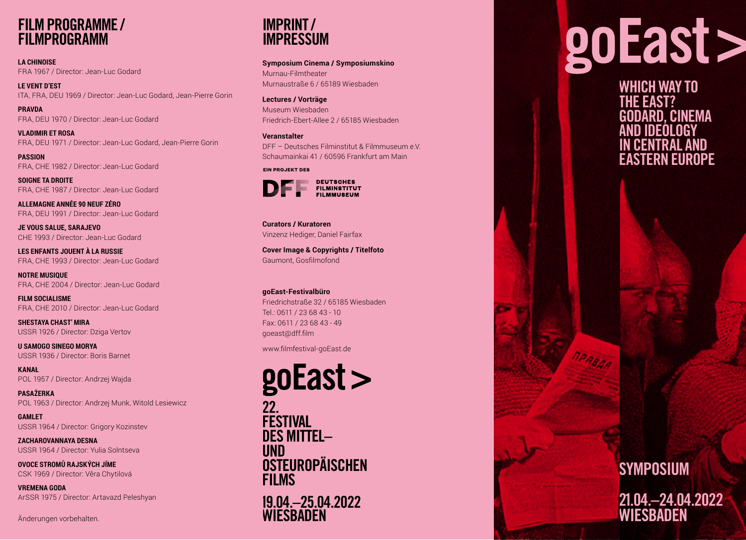## **FILM PROGRAMME /FILMPROGRAMM**

**LA CHINOISE**FRA 1967 / Director: Jean-Luc Godard

**LE VENT D'EST** ITA, FRA, DEU 1969 / Director: Jean-Luc Godard, Jean-Pierre Gorin

**PRAVDA**FRA, DEU 1970 / Director: Jean-Luc Godard

**VLADIMIR ET ROSA** FRA, DEU 1971 / Director: Jean-Luc Godard, Jean-Pierre Gorin

**PASSION**FRA, CHE 1982 / Director: Jean-Luc Godard

**SOIGNE TA DROITE** FRA, CHE 1987 / Director: Jean-Luc Godard

**ALLEMAGNE ANNÉE 90 NEUF ZÉRO** FRA, DEU 1991 / Director: Jean-Luc Godard

**JE VOUS SALUE, SARAJEVO**  CHE 1993 / Director: Jean-Luc Godard

**LES ENFANTS JOUENT À LA RUSSIE** FRA, CHE 1993 / Director: Jean-Luc Godard

**NOTRE MUSIQUE**  FRA, CHE 2004 / Director: Jean-Luc Godard

**FILM SOCIALISME** FRA, CHE 2010 / Director: Jean-Luc Godard

**SHESTAYA CHAST' MIRA** USSR 1926 / Director: Dziga Vertov

**U SAMOGO SINEGO MORYA** USSR 1936 / Director: Boris Barnet

**KANAŁ**POL 1957 / Director: Andrzej Wajda

**PASAŻERKA** POL 1963 / Director: Andrzej Munk, Witold Lesiewicz

**GAMLET**USSR 1964 / Director: Grigory Kozinstev

**ZACHAROVANNAYA DESNA**USSR 1964 / Director: Yulia Solntseva

**OVOCE STROMŮ RAJSKÝCH JÍME**CSK 1969 / Director: Věra Chytilová

**VREMENA GODA**ArSSR 1975 / Director: Artavazd Peleshyan

Änderungen vorbehalten.



**Symposium Cinema / Symposiumskino**  Murnau-FilmtheaterMurnaustraße 6 / 65189 Wiesbaden

**Lectures / Vorträge** Museum WiesbadenFriedrich-Ebert-Allee 2 / 65185 Wiesbaden

**Veranstalter** DFF – Deutsches Filminstitut & Filmmuseum e.V.Schaumainkai 41 / 60596 Frankfurt am Main

**EIN PROJEKT DES**



**Curators / Kuratoren**Vinzenz Hediger, Daniel Fairfax

**Cover Image & Copyrights / Titelfoto** Gaumont, Gosfilmofond

#### **goEast-Festivalbüro**

Friedrichstraße 32 / 65185 WiesbadenTel.: 0611 / 23 68 43 - 10Fax: 0611 / 23 68 43 - 49goeast@dff.film

www.filmfestival-goEast.de

## goEast >

22.**FESTIVAL**  DES MITTEL– UND OSTEUROPÄISCHEN FILMS

19.04.–25.04.2022 **WIESBADEN** 

# goEast>

**WHICH WAY TO THE EAST?** NEMA **AND IDEOLOGY IN CENTRAL AND EASTERN EUROPE**

## **SYMPOSIUM 21.04.–24.04.2022 WIESBADEN**